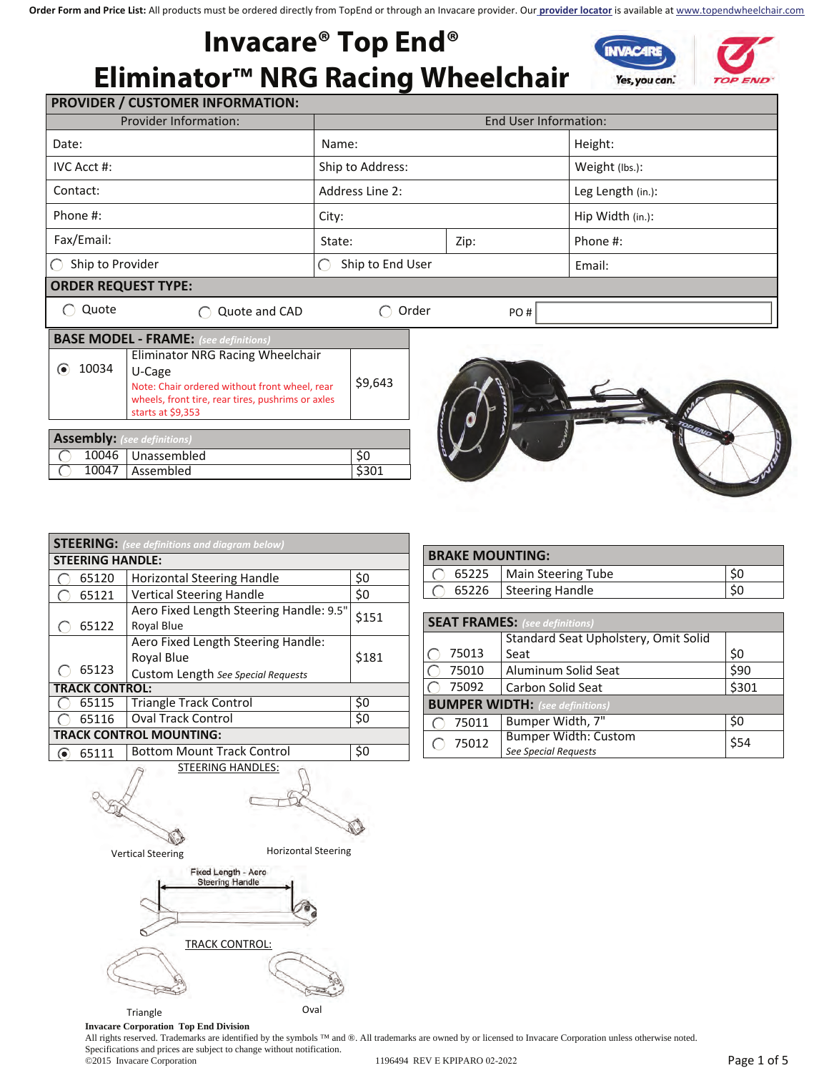# **Invacare® Top End® Eliminator™ NRG Racing Wheelchair**



**PROVIDER / CUSTOMER INFORMATION:** 

|                               | Provider Information: | End User Information: |      |                   |  |
|-------------------------------|-----------------------|-----------------------|------|-------------------|--|
| Date:                         |                       | Name:                 |      | Height:           |  |
| IVC Acct #:                   |                       | Ship to Address:      |      | Weight (lbs.):    |  |
| Contact:                      |                       | Address Line 2:       |      | Leg Length (in.): |  |
| Phone #:                      |                       | City:                 |      | Hip Width (in.):  |  |
| Fax/Email:                    |                       | State:                | Zip: | Phone #:          |  |
| Ship to Provider<br>$\bigcap$ |                       | Ship to End User      |      | Email:            |  |
| <b>ORDER REQUEST TYPE:</b>    |                       |                       |      |                   |  |
| Quote<br>Quote and CAD        |                       | Order                 | PO#  |                   |  |

| <b>BASE MODEL - FRAME:</b> (see definitions)                                                         |                                                                                                                                   |         |  |
|------------------------------------------------------------------------------------------------------|-----------------------------------------------------------------------------------------------------------------------------------|---------|--|
|                                                                                                      | Eliminator NRG Racing Wheelchair                                                                                                  |         |  |
| 10034                                                                                                | U-Cage<br>Note: Chair ordered without front wheel, rear<br>wheels, front tire, rear tires, pushrims or axles<br>starts at \$9,353 | \$9,643 |  |
| . سرا ط ممر<br>$\mathcal{L}$ and $\mathcal{L}$ and $\mathcal{L}$ and $\mathcal{L}$ and $\mathcal{L}$ |                                                                                                                                   |         |  |

| <b>Assembly:</b> (see definitions) |  |                     |      |
|------------------------------------|--|---------------------|------|
|                                    |  | $10046$ Unassembled |      |
|                                    |  | 10047 Assembled     | S301 |



|                                | <b>STEERING:</b> (see definitions and diagram below)  |       |  |
|--------------------------------|-------------------------------------------------------|-------|--|
| <b>STEERING HANDLE:</b>        |                                                       |       |  |
| 65120                          | <b>Horizontal Steering Handle</b>                     | \$0   |  |
| 65121                          | <b>Vertical Steering Handle</b>                       | \$0   |  |
| 65122                          | Aero Fixed Length Steering Handle: 9.5"<br>Royal Blue | \$151 |  |
|                                | Aero Fixed Length Steering Handle:                    |       |  |
|                                | Royal Blue                                            | \$181 |  |
| 65123                          | Custom Length See Special Requests                    |       |  |
| <b>TRACK CONTROL:</b>          |                                                       |       |  |
| 65115                          | <b>Triangle Track Control</b>                         | \$0   |  |
| 65116                          | <b>Oval Track Control</b>                             | \$0   |  |
| <b>TRACK CONTROL MOUNTING:</b> |                                                       |       |  |
| 65111                          | <b>Bottom Mount Track Control</b>                     | \$0   |  |
|                                | <b>STEERING HANDLES:</b>                              |       |  |

| 65225                                  | <b>Main Steering Tube</b>                                  | \$0   |  |  |
|----------------------------------------|------------------------------------------------------------|-------|--|--|
| 65226                                  | <b>Steering Handle</b>                                     | \$0   |  |  |
|                                        |                                                            |       |  |  |
|                                        | <b>SEAT FRAMES:</b> (see definitions)                      |       |  |  |
|                                        | Standard Seat Upholstery, Omit Solid                       |       |  |  |
| 75013                                  | Seat                                                       | \$0   |  |  |
| 75010                                  | Aluminum Solid Seat                                        | \$90  |  |  |
| 75092                                  | Carbon Solid Seat                                          | \$301 |  |  |
| <b>BUMPER WIDTH:</b> (see definitions) |                                                            |       |  |  |
| 75011                                  | Bumper Width, 7"                                           | \$0   |  |  |
| 75012                                  | <b>Bumper Width: Custom</b><br><b>See Special Requests</b> | \$54  |  |  |

**BRAKE MOUNTING:**



**Invacare Corporation Top End Division** 

All rights reserved. Trademarks are identified by the symbols ™ and ®. All trademarks are owned by or licensed to Invacare Corporation unless otherwise noted. Specifications and prices are subject to change without notification.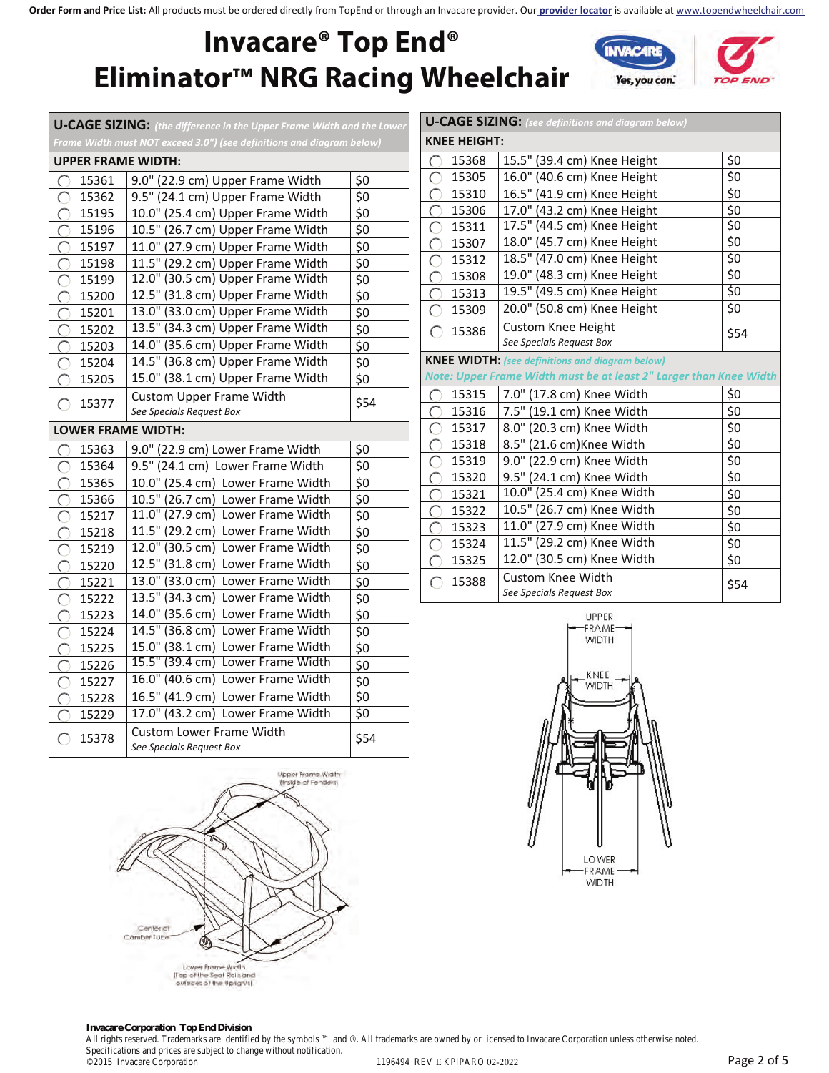## **Invacare® Top End® Eliminator™ NRG Racing Wheelchair**



|                           | <b>U-CAGE SIZING:</b> (the difference in the Upper Frame Width and the Lower |                  |
|---------------------------|------------------------------------------------------------------------------|------------------|
|                           | Frame Width must NOT exceed 3.0") (see definitions and diagram below)        |                  |
| <b>UPPER FRAME WIDTH:</b> |                                                                              |                  |
| 15361<br>C                | 9.0" (22.9 cm) Upper Frame Width                                             | \$0              |
| 15362<br>(                | 9.5" (24.1 cm) Upper Frame Width                                             | \$0              |
| 15195<br>C                | 10.0" (25.4 cm) Upper Frame Width                                            | \$0              |
| 15196<br>C                | 10.5" (26.7 cm) Upper Frame Width                                            | \$0              |
| 15197<br>C                | 11.0" (27.9 cm) Upper Frame Width                                            | \$0              |
| 15198<br>C                | 11.5" (29.2 cm) Upper Frame Width                                            | \$0              |
| 15199<br>⊖                | 12.0" (30.5 cm) Upper Frame Width                                            | \$0              |
| 15200<br>C                | 12.5" (31.8 cm) Upper Frame Width                                            | \$0              |
| 15201<br>⊖                | 13.0" (33.0 cm) Upper Frame Width                                            | \$0              |
| 15202<br>C                | 13.5" (34.3 cm) Upper Frame Width                                            | \$0              |
| 15203<br>C                | 14.0" (35.6 cm) Upper Frame Width                                            | \$0              |
| 15204<br>C                | 14.5" (36.8 cm) Upper Frame Width                                            | \$0              |
| 15205<br>⊖                | 15.0" (38.1 cm) Upper Frame Width                                            | \$0              |
| 15377<br>◯                | <b>Custom Upper Frame Width</b>                                              | \$54             |
|                           | See Specials Request Box                                                     |                  |
| <b>LOWER FRAME WIDTH:</b> |                                                                              |                  |
| 15363<br>⊖                | 9.0" (22.9 cm) Lower Frame Width                                             | \$0              |
| 15364<br>C                | 9.5" (24.1 cm) Lower Frame Width                                             | \$0              |
| 15365<br>C                | 10.0" (25.4 cm) Lower Frame Width                                            | \$0              |
| 15366<br>C                | 10.5" (26.7 cm) Lower Frame Width                                            | \$0              |
| 15217<br>C                | 11.0" (27.9 cm) Lower Frame Width                                            | \$0              |
| 15218<br>⊖                | 11.5" (29.2 cm) Lower Frame Width                                            | \$0              |
| 15219<br>⊖                | 12.0" (30.5 cm) Lower Frame Width                                            | \$0              |
| 15220<br>€                | 12.5" (31.8 cm) Lower Frame Width                                            | \$0              |
| 15221<br>C                | 13.0" (33.0 cm) Lower Frame Width                                            | \$0              |
| 15222<br>C                | 13.5" (34.3 cm) Lower Frame Width                                            | \$0              |
| 15223<br>C                | 14.0" (35.6 cm) Lower Frame Width                                            | \$0              |
| 15224<br>C                | 14.5" (36.8 cm) Lower Frame Width                                            | \$0              |
| 15225<br>C                | 15.0" (38.1 cm) Lower Frame Width                                            | \$0              |
| 15226<br>$\subset$        | 15.5" (39.4 cm) Lower Frame Width                                            | \$0              |
| 15227<br>C                | 16.0" (40.6 cm) Lower Frame Width                                            | \$0              |
| 15228<br>◯                | 16.5" (41.9 cm) Lower Frame Width                                            | \$0              |
| 15229<br>⊖                | 17.0" (43.2 cm) Lower Frame Width                                            | $\overline{\$0}$ |
| 15378<br>C                | <b>Custom Lower Frame Width</b><br>See Specials Request Box                  | \$54             |



| <b>U-CAGE SIZING:</b> (see definitions and diagram below) |                     |                                                                    |                    |  |
|-----------------------------------------------------------|---------------------|--------------------------------------------------------------------|--------------------|--|
|                                                           | <b>KNEE HEIGHT:</b> |                                                                    |                    |  |
| ◯                                                         | 15368               | 15.5" (39.4 cm) Knee Height                                        | \$0                |  |
| ◯                                                         | 15305               | 16.0" (40.6 cm) Knee Height                                        | \$0                |  |
| ◯                                                         | 15310               | 16.5" (41.9 cm) Knee Height                                        | \$0                |  |
| ◯                                                         | 15306               | 17.0" (43.2 cm) Knee Height                                        | \$0                |  |
| ◯                                                         | 15311               | 17.5" (44.5 cm) Knee Height                                        | $\overline{\xi_0}$ |  |
| ◯                                                         | 15307               | 18.0" (45.7 cm) Knee Height                                        | \$0                |  |
| ∩                                                         | 15312               | 18.5" (47.0 cm) Knee Height                                        | $\overline{\xi_0}$ |  |
| C                                                         | 15308               | 19.0" (48.3 cm) Knee Height                                        | \$0                |  |
| $\bigcirc$                                                | 15313               | 19.5" (49.5 cm) Knee Height                                        | $\overline{\xi_0}$ |  |
| ∩                                                         | 15309               | 20.0" (50.8 cm) Knee Height                                        | \$0                |  |
| ∩                                                         | 15386               | <b>Custom Knee Height</b>                                          | \$54               |  |
|                                                           |                     | See Specials Request Box                                           |                    |  |
|                                                           |                     | <b>KNEE WIDTH:</b> (see definitions and diagram below)             |                    |  |
|                                                           |                     | Note: Upper Frame Width must be at least 2" Larger than Knee Width |                    |  |
| ∩                                                         | 15315               | 7.0" (17.8 cm) Knee Width                                          | \$0                |  |
| ∩                                                         | 15316               | 7.5" (19.1 cm) Knee Width                                          | \$0                |  |
| ∩                                                         | 15317               | 8.0" (20.3 cm) Knee Width                                          | \$0                |  |
| ◯                                                         | 15318               | 8.5" (21.6 cm) Knee Width                                          | \$0                |  |
| ◯                                                         | 15319               | 9.0" (22.9 cm) Knee Width                                          | \$0                |  |
| ∩                                                         | 15320               | 9.5" (24.1 cm) Knee Width                                          | \$0                |  |
| ◯                                                         | 15321               | 10.0" (25.4 cm) Knee Width                                         | \$0                |  |
| ◯                                                         | 15322               | 10.5" (26.7 cm) Knee Width                                         | \$0                |  |
| ◯                                                         | 15323               | 11.0" (27.9 cm) Knee Width                                         | \$0                |  |
| ◯                                                         | 15324               | 11.5" (29.2 cm) Knee Width                                         | \$0                |  |
| $\bigcap$                                                 | 15325               | 12.0" (30.5 cm) Knee Width                                         | \$0                |  |
| O                                                         | 15388               | <b>Custom Knee Width</b><br>See Specials Request Box               | \$54               |  |



#### **Invacare Corporation Top End Division**

All rights reserved. Trademarks are identified by the symbols ™ and ®. All trademarks are owned by or licensed to Invacare Corporation unless otherwise noted. Specifications and prices are subject to change without notification.<br>©2015 Invacare Corporation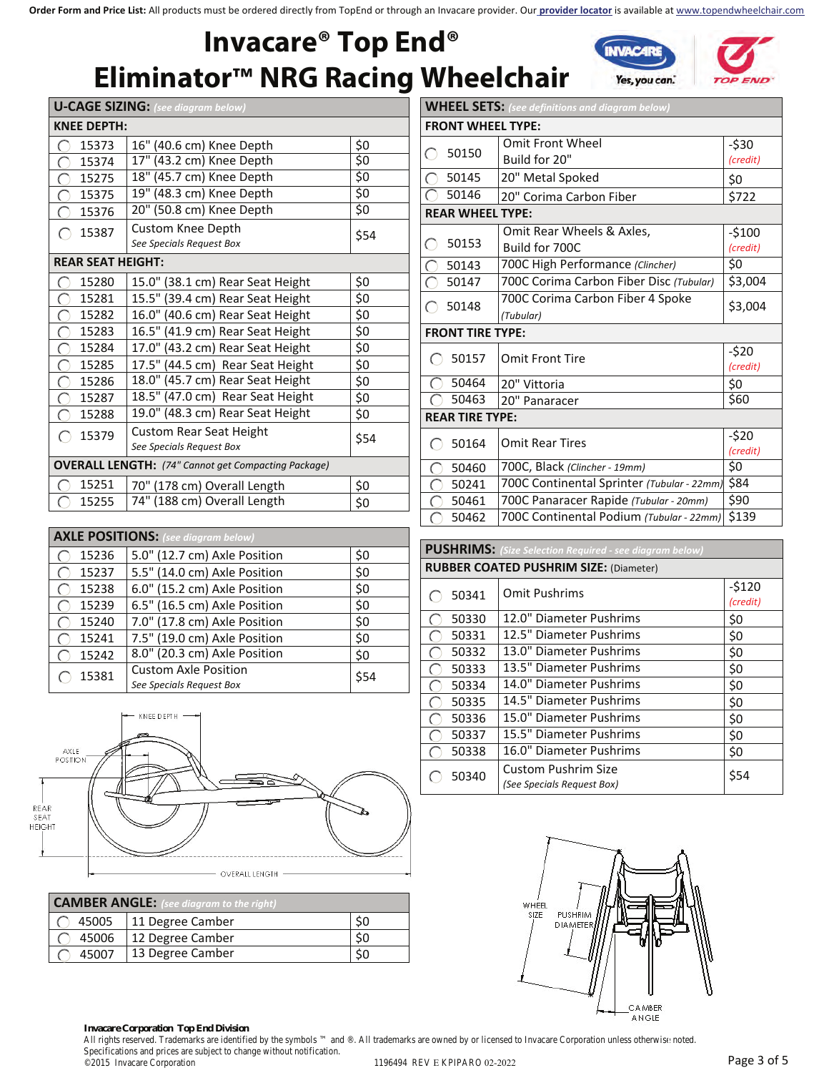# **Invacare® Top End® Eliminator™ NRG Racing Wheelchair**



| <b>U-CAGE SIZING:</b> (see diagram below)                  |                                                            |                    |  |  |
|------------------------------------------------------------|------------------------------------------------------------|--------------------|--|--|
|                                                            | <b>KNEE DEPTH:</b>                                         |                    |  |  |
| 15373                                                      | 16" (40.6 cm) Knee Depth                                   | \$0                |  |  |
| 15374                                                      | 17" (43.2 cm) Knee Depth                                   | $\overline{\$0}$   |  |  |
| 15275                                                      | 18" (45.7 cm) Knee Depth                                   | $\overline{\xi_0}$ |  |  |
| 15375                                                      | 19" (48.3 cm) Knee Depth                                   | \$0                |  |  |
| 15376                                                      | 20" (50.8 cm) Knee Depth                                   | \$0                |  |  |
| 15387<br>⊂                                                 | Custom Knee Depth<br>See Specials Request Box              | \$54               |  |  |
| <b>REAR SEAT HEIGHT:</b>                                   |                                                            |                    |  |  |
| 15280                                                      | 15.0" (38.1 cm) Rear Seat Height                           | \$0                |  |  |
| 15281                                                      | 15.5" (39.4 cm) Rear Seat Height                           | \$0                |  |  |
| 15282                                                      | 16.0" (40.6 cm) Rear Seat Height                           | \$0                |  |  |
| 15283                                                      | 16.5" (41.9 cm) Rear Seat Height                           | \$0                |  |  |
| 15284                                                      | 17.0" (43.2 cm) Rear Seat Height                           | \$0                |  |  |
| 15285                                                      | 17.5" (44.5 cm) Rear Seat Height                           | \$0                |  |  |
| 15286                                                      | 18.0" (45.7 cm) Rear Seat Height                           | \$0                |  |  |
| 15287                                                      | 18.5" (47.0 cm) Rear Seat Height                           | \$0                |  |  |
| 15288                                                      | 19.0" (48.3 cm) Rear Seat Height                           | \$0                |  |  |
| 15379                                                      | <b>Custom Rear Seat Height</b><br>See Specials Request Box | \$54               |  |  |
| <b>OVERALL LENGTH:</b> (74" Cannot get Compacting Package) |                                                            |                    |  |  |
| 15251                                                      | 70" (178 cm) Overall Length                                | \$0                |  |  |
| 15255                                                      | 74" (188 cm) Overall Length                                | \$0                |  |  |

| <b>AXLE POSITIONS:</b> (see diagram below) |                                                         |      |  |
|--------------------------------------------|---------------------------------------------------------|------|--|
| 15236                                      | 5.0" (12.7 cm) Axle Position                            | \$0  |  |
| 15237                                      | 5.5" (14.0 cm) Axle Position                            | \$0  |  |
| 15238                                      | 6.0" (15.2 cm) Axle Position                            | \$0  |  |
| 15239                                      | 6.5" (16.5 cm) Axle Position                            | \$0  |  |
| 15240                                      | 7.0" (17.8 cm) Axle Position                            | \$0  |  |
| 15241                                      | 7.5" (19.0 cm) Axle Position                            | \$0  |  |
| 15242                                      | 8.0" (20.3 cm) Axle Position                            | \$0  |  |
| 15381                                      | <b>Custom Axle Position</b><br>See Specials Request Box | \$54 |  |



| <b>CAMBER ANGLE:</b> (see diagram to the right) |                          |  |  |
|-------------------------------------------------|--------------------------|--|--|
|                                                 | 45005   11 Degree Camber |  |  |
| 45006                                           | 12 Degree Camber         |  |  |
| 45007                                           | 13 Degree Camber         |  |  |

| <b>WHEEL SETS:</b> (see definitions and diagram below) |                                            |          |  |
|--------------------------------------------------------|--------------------------------------------|----------|--|
| <b>FRONT WHEEL TYPE:</b>                               |                                            |          |  |
| 50150                                                  | <b>Omit Front Wheel</b>                    | -\$30    |  |
| $\left( \right)$                                       | Build for 20"                              | (credit) |  |
| 50145                                                  | 20" Metal Spoked                           | \$0      |  |
| 50146                                                  | 20" Corima Carbon Fiber                    | \$722    |  |
| <b>REAR WHEEL TYPE:</b>                                |                                            |          |  |
|                                                        | Omit Rear Wheels & Axles,                  | -\$100   |  |
| 50153<br>(                                             | Build for 700C                             | (credit) |  |
| 50143                                                  | 700C High Performance (Clincher)           | \$0      |  |
| 50147                                                  | 700C Corima Carbon Fiber Disc (Tubular)    | \$3,004  |  |
| 50148                                                  | 700C Corima Carbon Fiber 4 Spoke           | \$3,004  |  |
|                                                        | (Tubular)                                  |          |  |
| <b>FRONT TIRE TYPE:</b>                                |                                            |          |  |
| 50157                                                  | <b>Omit Front Tire</b>                     | $-520$   |  |
|                                                        |                                            | (credit) |  |
| 50464                                                  | 20" Vittoria                               | \$0      |  |
| 50463                                                  | 20" Panaracer                              | \$60     |  |
| <b>REAR TIRE TYPE:</b>                                 |                                            |          |  |
| 50164<br>⊖                                             | <b>Omit Rear Tires</b>                     | $-520$   |  |
|                                                        |                                            | (credit) |  |
| 50460                                                  | 700C, Black (Clincher - 19mm)              | \$0      |  |
| 50241                                                  | 700C Continental Sprinter (Tubular - 22mm) | \$84     |  |
| 50461                                                  | 700C Panaracer Rapide (Tubular - 20mm)     | \$90     |  |
| 50462<br>C                                             | 700C Continental Podium (Tubular - 22mm)   | \$139    |  |

| <b>PUSHRIMS:</b> (Size Selection Required - see diagram below) |                                               |                                                          |                     |  |
|----------------------------------------------------------------|-----------------------------------------------|----------------------------------------------------------|---------------------|--|
|                                                                | <b>RUBBER COATED PUSHRIM SIZE: (Diameter)</b> |                                                          |                     |  |
|                                                                | 50341                                         | Omit Pushrims                                            | $-5120$<br>(credit) |  |
|                                                                | 50330                                         | 12.0" Diameter Pushrims                                  | \$0                 |  |
|                                                                | 50331                                         | 12.5" Diameter Pushrims                                  | \$0                 |  |
|                                                                | 50332                                         | 13.0" Diameter Pushrims                                  | \$0                 |  |
|                                                                | 50333                                         | 13.5" Diameter Pushrims                                  | \$0                 |  |
|                                                                | 50334                                         | 14.0" Diameter Pushrims                                  | \$0                 |  |
|                                                                | 50335                                         | 14.5" Diameter Pushrims                                  | \$0                 |  |
|                                                                | 50336                                         | 15.0" Diameter Pushrims                                  | \$0                 |  |
|                                                                | 50337                                         | 15.5" Diameter Pushrims                                  | \$0                 |  |
|                                                                | 50338                                         | 16.0" Diameter Pushrims                                  | \$0                 |  |
|                                                                | 50340                                         | <b>Custom Pushrim Size</b><br>(See Specials Request Box) | \$54                |  |



#### **Invacare Corporation Top End Division**

All rights reserved. Trademarks are identified by the symbols ™ and ®. All trademarks are owned by or licensed to Invacare Corporation unless otherwise noted. Specifications and prices are subject to change without notification.<br>©2015 Invacare Corporation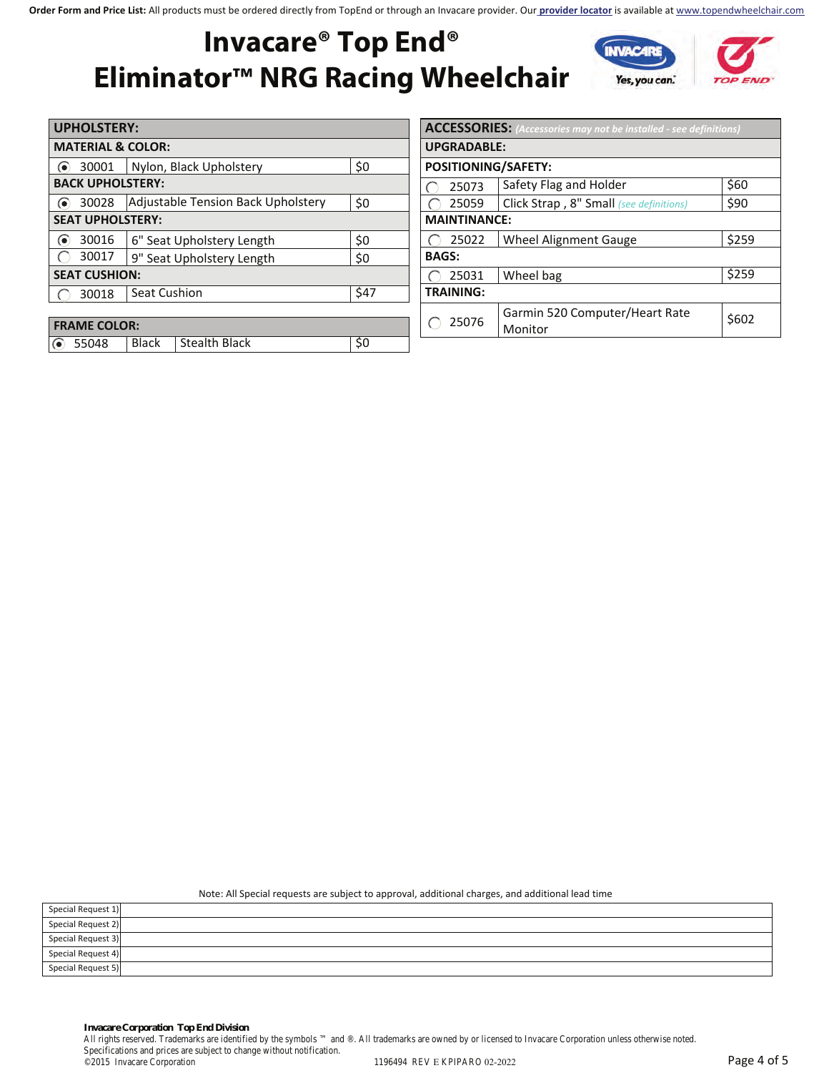### **Invacare® Top End® Eliminator™ NRG Racing Wheelchair**



| <b>UPHOLSTERY:</b>           |                                           |      |  |  |
|------------------------------|-------------------------------------------|------|--|--|
| <b>MATERIAL &amp; COLOR:</b> |                                           |      |  |  |
| 30001                        | Nylon, Black Upholstery                   | \$0  |  |  |
| <b>BACK UPHOLSTERY:</b>      |                                           |      |  |  |
| 30028                        | <b>Adjustable Tension Back Upholstery</b> | \$0  |  |  |
| <b>SEAT UPHOLSTERY:</b>      |                                           |      |  |  |
| 30016                        | 6" Seat Upholstery Length                 | \$0  |  |  |
| 30017                        | 9" Seat Upholstery Length                 | \$0  |  |  |
| <b>SEAT CUSHION:</b>         |                                           |      |  |  |
| 30018                        | Seat Cushion                              | \$47 |  |  |
|                              |                                           |      |  |  |
| <b>FRAME COLOR:</b>          |                                           |      |  |  |
| 55048                        | <b>Stealth Black</b><br><b>Black</b>      | \$0  |  |  |

| <b>ACCESSORIES:</b> (Accessories may not be installed - see definitions) |                                           |       |  |  |
|--------------------------------------------------------------------------|-------------------------------------------|-------|--|--|
| <b>UPGRADABLE:</b>                                                       |                                           |       |  |  |
| <b>POSITIONING/SAFETY:</b>                                               |                                           |       |  |  |
| 25073                                                                    | Safety Flag and Holder                    | \$60  |  |  |
| 25059                                                                    | Click Strap, 8" Small (see definitions)   | \$90  |  |  |
| <b>MAINTINANCE:</b>                                                      |                                           |       |  |  |
| 25022                                                                    | <b>Wheel Alignment Gauge</b>              | \$259 |  |  |
| <b>BAGS:</b>                                                             |                                           |       |  |  |
| 25031                                                                    | Wheel bag                                 | \$259 |  |  |
| <b>TRAINING:</b>                                                         |                                           |       |  |  |
| 25076                                                                    | Garmin 520 Computer/Heart Rate<br>Monitor | \$602 |  |  |

Note: All Special requests are subject to approval, additional charges, and additional lead time

| Special Request 1) |  |
|--------------------|--|
| Special Request 2) |  |
| Special Request 3) |  |
| Special Request 4) |  |
| Special Request 5) |  |

**Invacare Corporation Top End Division**  All rights reserved. Trademarks are identified by the symbols ™ and ®. All trademarks are owned by or licensed to Invacare Corporation unless otherwise noted. Specifications and prices are subject to change without notification.<br>©2015 Invacare Corporation ©2015 Invacare Corporation 1196494 REV E KPIPARO 02-2022